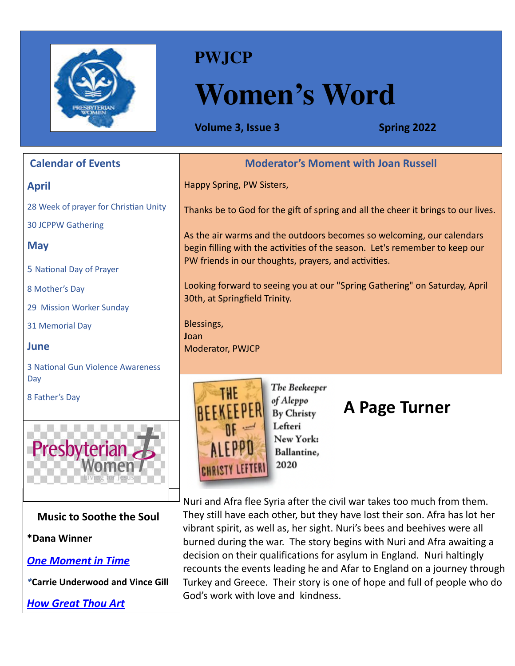

### **PWJCP**

# **Women's Word**

**Volume 3, Issue 3 Spring 2022** 

| <b>Calendar of Events</b>                | <b>Moderator's Moment with Joan Russell</b>                                       |
|------------------------------------------|-----------------------------------------------------------------------------------|
| <b>April</b>                             | Happy Spring, PW Sisters,                                                         |
| 28 Week of prayer for Christian Unity    | Thanks be to God for the gift of spring and all the cheer it brings to our lives. |
| <b>30 JCPPW Gathering</b>                | As the air warms and the outdoors becomes so welcoming, our calendars             |
| <b>May</b>                               | begin filling with the activities of the season. Let's remember to keep our       |
| 5 National Day of Prayer                 | PW friends in our thoughts, prayers, and activities.                              |
| 8 Mother's Day                           | Looking forward to seeing you at our "Spring Gathering" on Saturday, April        |
| 29 Mission Worker Sunday                 | 30th, at Springfield Trinity.                                                     |
| 31 Memorial Day                          | Blessings,<br>Joan                                                                |
| June                                     | Moderator, PWJCP                                                                  |
| <b>3 National Gun Violence Awareness</b> |                                                                                   |
| Day<br>8 Father's Day                    | The Beekeeper<br>of Aleppo<br>A Page Turner<br><b>By Christy</b>                  |
|                                          | Lefteri<br>New York:<br>Ballantine,<br>2020                                       |

**Music to Soothe the Soul**

**\*Dana Winner**

*[One Moment in Time](https://youtu.be/RawE7mwXTa4)*

*\****Carrie Underwood and Vince Gill**

*[How Great Thou Art](https://youtu.be/MHusNDxUHNA)*

Nuri and Afra flee Syria after the civil war takes too much from them. They still have each other, but they have lost their son. Afra has lot her vibrant spirit, as well as, her sight. Nuri's bees and beehives were all burned during the war. The story begins with Nuri and Afra awaiting a decision on their qualifications for asylum in England. Nuri haltingly recounts the events leading he and Afar to England on a journey through Turkey and Greece. Their story is one of hope and full of people who do God's work with love and kindness.